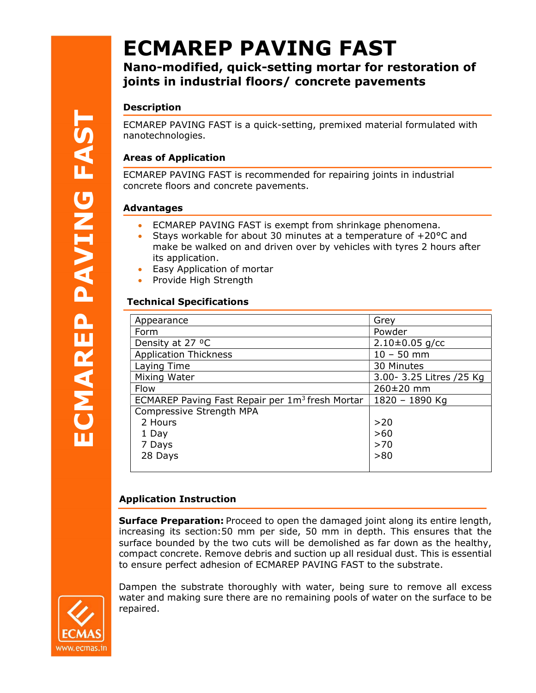# ECMAREP PAVING FAST

## Nano-modified, quick-setting mortar for restoration of joints in industrial floors/ concrete pavements

## Description

ECMAREP PAVING FAST is a quick-setting, premixed material formulated with nanotechnologies.

## Areas of Application

ECMAREP PAVING FAST is recommended for repairing joints in industrial concrete floors and concrete pavements.

## Advantages

- ECMAREP PAVING FAST is exempt from shrinkage phenomena.
- Stays workable for about 30 minutes at a temperature of  $+20^{\circ}$ C and make be walked on and driven over by vehicles with tyres 2 hours after its application.
- Easy Application of mortar
- Provide High Strength

## Technical Specifications

| Appearance                                                  | Grey                     |
|-------------------------------------------------------------|--------------------------|
| Form                                                        | Powder                   |
| Density at 27 °C                                            | $2.10\pm0.05$ g/cc       |
| <b>Application Thickness</b>                                | $10 - 50$ mm             |
| Laying Time                                                 | 30 Minutes               |
| Mixing Water                                                | 3.00- 3.25 Litres /25 Kg |
| Flow                                                        | 260±20 mm                |
| ECMAREP Paving Fast Repair per 1m <sup>3</sup> fresh Mortar | 1820 - 1890 Kg           |
| Compressive Strength MPA                                    |                          |
| 2 Hours                                                     | >20                      |
| 1 Day                                                       | $>60$                    |
| 7 Days                                                      | $>70$                    |
| 28 Days                                                     | >80                      |
|                                                             |                          |

#### and the state of the state of Application Instruction

**Surface Preparation:** Proceed to open the damaged joint along its entire length, increasing its section:50 mm per side, 50 mm in depth. This ensures that the surface bounded by the two cuts will be demolished as far down as the healthy, compact concrete. Remove debris and suction up all residual dust. This is essential to ensure perfect adhesion of ECMAREP PAVING FAST to the substrate.

Dampen the substrate thoroughly with water, being sure to remove all excess water and making sure there are no remaining pools of water on the surface to be repaired.